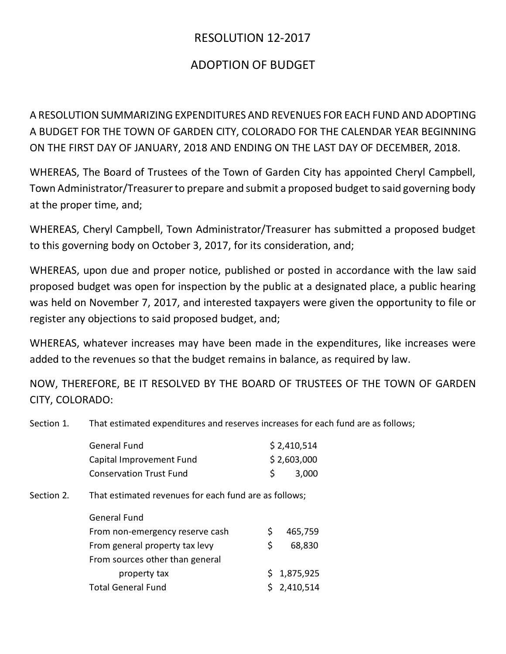## RESOLUTION 12-2017

## ADOPTION OF BUDGET

A RESOLUTION SUMMARIZING EXPENDITURES AND REVENUES FOR EACH FUND AND ADOPTING A BUDGET FOR THE TOWN OF GARDEN CITY, COLORADO FOR THE CALENDAR YEAR BEGINNING ON THE FIRST DAY OF JANUARY, 2018 AND ENDING ON THE LAST DAY OF DECEMBER, 2018.

WHEREAS, The Board of Trustees of the Town of Garden City has appointed Cheryl Campbell, Town Administrator/Treasurer to prepare and submit a proposed budget to said governing body at the proper time, and;

WHEREAS, Cheryl Campbell, Town Administrator/Treasurer has submitted a proposed budget to this governing body on October 3, 2017, for its consideration, and;

WHEREAS, upon due and proper notice, published or posted in accordance with the law said proposed budget was open for inspection by the public at a designated place, a public hearing was held on November 7, 2017, and interested taxpayers were given the opportunity to file or register any objections to said proposed budget, and;

WHEREAS, whatever increases may have been made in the expenditures, like increases were added to the revenues so that the budget remains in balance, as required by law.

NOW, THEREFORE, BE IT RESOLVED BY THE BOARD OF TRUSTEES OF THE TOWN OF GARDEN CITY, COLORADO:

Section 1. That estimated expenditures and reserves increases for each fund are as follows;

| <b>General Fund</b>            | \$2,410,514 |
|--------------------------------|-------------|
| Capital Improvement Fund       | \$2,603,000 |
| <b>Conservation Trust Fund</b> | 3,000       |
|                                |             |

Section 2. That estimated revenues for each fund are as follows;

| <b>General Fund</b>             |    |             |
|---------------------------------|----|-------------|
| From non-emergency reserve cash | S  | 465,759     |
| From general property tax levy  | S. | 68,830      |
| From sources other than general |    |             |
| property tax                    |    | \$1,875,925 |
| <b>Total General Fund</b>       |    | \$2,410,514 |